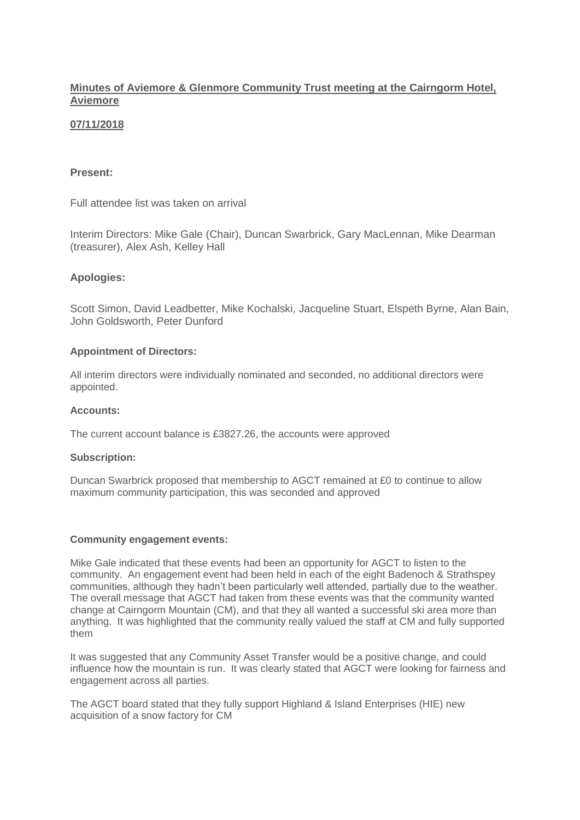## **Minutes of Aviemore & Glenmore Community Trust meeting at the Cairngorm Hotel, Aviemore**

# **07/11/2018**

## **Present:**

Full attendee list was taken on arrival

Interim Directors: Mike Gale (Chair), Duncan Swarbrick, Gary MacLennan, Mike Dearman (treasurer), Alex Ash, Kelley Hall

### **Apologies:**

Scott Simon, David Leadbetter, Mike Kochalski, Jacqueline Stuart, Elspeth Byrne, Alan Bain, John Goldsworth, Peter Dunford

### **Appointment of Directors:**

All interim directors were individually nominated and seconded, no additional directors were appointed.

### **Accounts:**

The current account balance is £3827.26, the accounts were approved

### **Subscription:**

Duncan Swarbrick proposed that membership to AGCT remained at £0 to continue to allow maximum community participation, this was seconded and approved

### **Community engagement events:**

Mike Gale indicated that these events had been an opportunity for AGCT to listen to the community. An engagement event had been held in each of the eight Badenoch & Strathspey communities, although they hadn't been particularly well attended, partially due to the weather. The overall message that AGCT had taken from these events was that the community wanted change at Cairngorm Mountain (CM), and that they all wanted a successful ski area more than anything. It was highlighted that the community really valued the staff at CM and fully supported them

It was suggested that any Community Asset Transfer would be a positive change, and could influence how the mountain is run. It was clearly stated that AGCT were looking for fairness and engagement across all parties.

The AGCT board stated that they fully support Highland & Island Enterprises (HIE) new acquisition of a snow factory for CM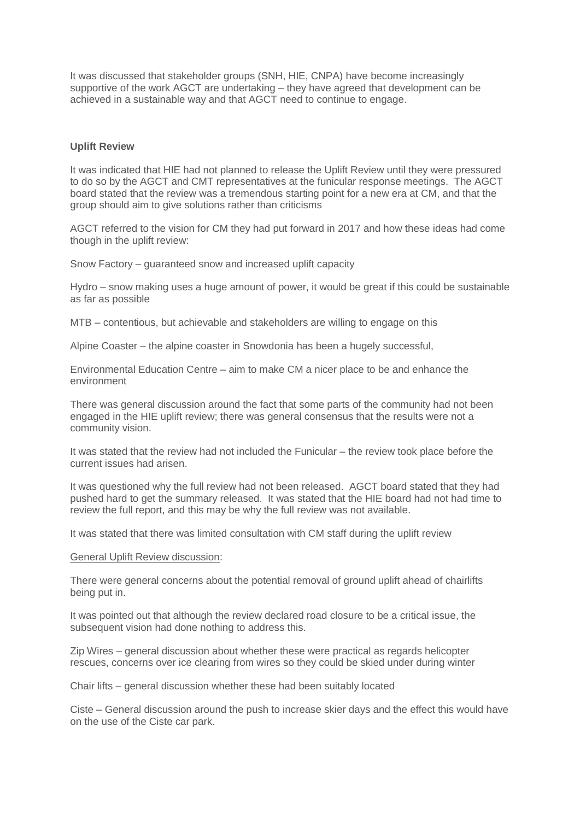It was discussed that stakeholder groups (SNH, HIE, CNPA) have become increasingly supportive of the work AGCT are undertaking – they have agreed that development can be achieved in a sustainable way and that AGCT need to continue to engage.

#### **Uplift Review**

It was indicated that HIE had not planned to release the Uplift Review until they were pressured to do so by the AGCT and CMT representatives at the funicular response meetings. The AGCT board stated that the review was a tremendous starting point for a new era at CM, and that the group should aim to give solutions rather than criticisms

AGCT referred to the vision for CM they had put forward in 2017 and how these ideas had come though in the uplift review:

Snow Factory – guaranteed snow and increased uplift capacity

Hydro – snow making uses a huge amount of power, it would be great if this could be sustainable as far as possible

MTB – contentious, but achievable and stakeholders are willing to engage on this

Alpine Coaster – the alpine coaster in Snowdonia has been a hugely successful,

Environmental Education Centre – aim to make CM a nicer place to be and enhance the environment

There was general discussion around the fact that some parts of the community had not been engaged in the HIE uplift review; there was general consensus that the results were not a community vision.

It was stated that the review had not included the Funicular – the review took place before the current issues had arisen.

It was questioned why the full review had not been released. AGCT board stated that they had pushed hard to get the summary released. It was stated that the HIE board had not had time to review the full report, and this may be why the full review was not available.

It was stated that there was limited consultation with CM staff during the uplift review

#### General Uplift Review discussion:

There were general concerns about the potential removal of ground uplift ahead of chairlifts being put in.

It was pointed out that although the review declared road closure to be a critical issue, the subsequent vision had done nothing to address this.

Zip Wires – general discussion about whether these were practical as regards helicopter rescues, concerns over ice clearing from wires so they could be skied under during winter

Chair lifts – general discussion whether these had been suitably located

Ciste – General discussion around the push to increase skier days and the effect this would have on the use of the Ciste car park.